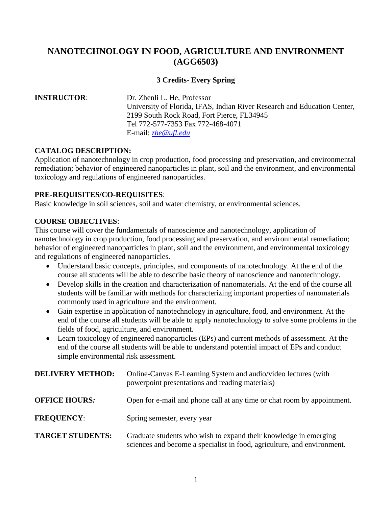# **NANOTECHNOLOGY IN FOOD, AGRICULTURE AND ENVIRONMENT (AGG6503)**

# **3 Credits- Every Spring**

# **INSTRUCTOR**: Dr. Zhenli L. He, Professor University of Florida, IFAS, Indian River Research and Education Center, 2199 South Rock Road, Fort Pierce, FL34945 Tel 772-577-7353 Fax 772-468-4071 E-mail: *[zhe@ufl.edu](mailto:zhe@ufl.edu)*

## **CATALOG DESCRIPTION:**

Application of nanotechnology in crop production, food processing and preservation, and environmental remediation; behavior of engineered nanoparticles in plant, soil and the environment, and environmental toxicology and regulations of engineered nanoparticles.

## **PRE-REQUISITES/CO-REQUISITES**:

Basic knowledge in soil sciences, soil and water chemistry, or environmental sciences.

## **COURSE OBJECTIVES**:

This course will cover the fundamentals of nanoscience and nanotechnology, application of nanotechnology in crop production, food processing and preservation, and environmental remediation; behavior of engineered nanoparticles in plant, soil and the environment, and environmental toxicology and regulations of engineered nanoparticles.

- Understand basic concepts, principles, and components of nanotechnology. At the end of the course all students will be able to describe basic theory of nanoscience and nanotechnology.
- Develop skills in the creation and characterization of nanomaterials. At the end of the course all students will be familiar with methods for characterizing important properties of nanomaterials commonly used in agriculture and the environment.
- Gain expertise in application of nanotechnology in agriculture, food, and environment. At the end of the course all students will be able to apply nanotechnology to solve some problems in the fields of food, agriculture, and environment.
- Learn toxicology of engineered nanoparticles (EPs) and current methods of assessment. At the end of the course all students will be able to understand potential impact of EPs and conduct simple environmental risk assessment.

| <b>DELIVERY METHOD:</b> | Online-Canvas E-Learning System and audio/video lectures (with<br>powerpoint presentations and reading materials)                           |
|-------------------------|---------------------------------------------------------------------------------------------------------------------------------------------|
| <b>OFFICE HOURS:</b>    | Open for e-mail and phone call at any time or chat room by appointment.                                                                     |
| <b>FREQUENCY:</b>       | Spring semester, every year                                                                                                                 |
| <b>TARGET STUDENTS:</b> | Graduate students who wish to expand their knowledge in emerging<br>sciences and become a specialist in food, agriculture, and environment. |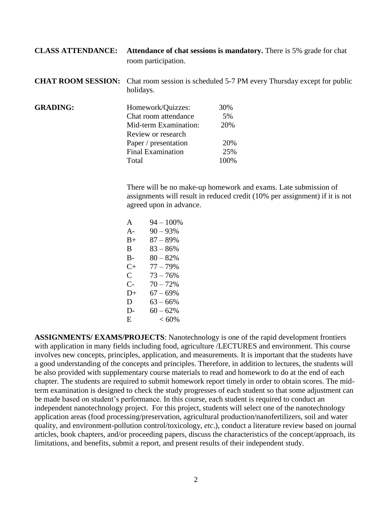| <b>CLASS ATTENDANCE:</b> Attendance of chat sessions is mandatory. There is 5% grade for chat |
|-----------------------------------------------------------------------------------------------|
| room participation.                                                                           |

| <b>CHAT ROOM SESSION:</b> Chat room session is scheduled 5-7 PM every Thursday except for public |
|--------------------------------------------------------------------------------------------------|
| holidays.                                                                                        |

| Homework/Quizzes:        | 30%   |
|--------------------------|-------|
| Chat room attendance     | 5%    |
| Mid-term Examination:    | 20%   |
| Review or research       |       |
| Paper / presentation     | 20%   |
| <b>Final Examination</b> | 25%   |
| Total                    | 100\% |
|                          |       |

There will be no make-up homework and exams. Late submission of assignments will result in reduced credit (10% per assignment) if it is not agreed upon in advance.

| A         | $94 - 100\%$ |
|-----------|--------------|
| A-        | $90 - 93\%$  |
| B+        | $87 - 89\%$  |
| B         | $83 - 86\%$  |
| B-        | $80 - 82%$   |
| $C+$      | $77 - 79%$   |
| $\subset$ | $73 - 76%$   |
| C-        | $70 - 72%$   |
| D+        | $67 - 69%$   |
| D         | $63 - 66\%$  |
| D-        | $60 - 62%$   |
| E         | < 60%        |
|           |              |

**ASSIGNMENTS/ EXAMS/PROJECTS**: Nanotechnology is one of the rapid development frontiers with application in many fields including food, agriculture /LECTURES and environment. This course involves new concepts, principles, application, and measurements. It is important that the students have a good understanding of the concepts and principles. Therefore, in addition to lectures, the students will be also provided with supplementary course materials to read and homework to do at the end of each chapter. The students are required to submit homework report timely in order to obtain scores. The midterm examination is designed to check the study progresses of each student so that some adjustment can be made based on student's performance. In this course, each student is required to conduct an independent nanotechnology project. For this project, students will select one of the nanotechnology application areas (food processing/preservation, agricultural production/nanofertilizers, soil and water quality, and environment-pollution control/toxicology, *etc*.), conduct a literature review based on journal articles, book chapters, and/or proceeding papers, discuss the characteristics of the concept/approach, its limitations, and benefits, submit a report, and present results of their independent study.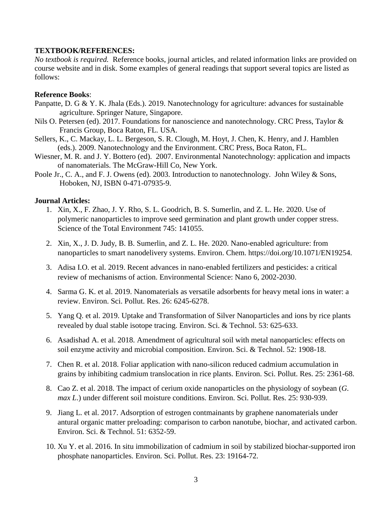#### **TEXTBOOK/REFERENCES:**

*No textbook is required.* Reference books, journal articles, and related information links are provided on course website and in disk. Some examples of general readings that support several topics are listed as follows:

#### **Reference Books**:

- Panpatte, D. G & Y. K. Jhala (Eds.). 2019. Nanotechnology for agriculture: advances for sustainable agriculture. Springer Nature, Singapore.
- Nils O. Petersen (ed). 2017. Foundations for nanoscience and nanotechnology. CRC Press, Taylor & Francis Group, Boca Raton, FL. USA.
- Sellers, K., C. Mackay, L. L. Bergeson, S. R. Clough, M. Hoyt, J. Chen, K. Henry, and J. Hamblen (eds.). 2009. Nanotechnology and the Environment. CRC Press, Boca Raton, FL.
- Wiesner, M. R. and J. Y. Bottero (ed). 2007. Environmental Nanotechnology: application and impacts of nanomaterials. The McGraw-Hill Co, New York.
- Poole Jr., C. A., and F. J. Owens (ed). 2003. Introduction to nanotechnology. John Wiley & Sons, Hoboken, NJ, ISBN 0-471-07935-9.

#### **Journal Articles:**

- 1. Xin, X., F. Zhao, J. Y. Rho, S. L. Goodrich, B. S. Sumerlin, and Z. L. He. 2020. Use of polymeric nanoparticles to improve seed germination and plant growth under copper stress. Science of the Total Environment 745: 141055.
- 2. Xin, X., J. D. Judy, B. B. Sumerlin, and Z. L. He. 2020. Nano-enabled agriculture: from nanoparticles to smart nanodelivery systems. Environ. Chem. https://doi.org/10.1071/EN19254.
- 3. Adisa I.O. et al. 2019. Recent advances in nano-enabled fertilizers and pesticides: a critical review of mechanisms of action. Environmental Science: Nano 6, 2002-2030.
- 4. Sarma G. K. et al. 2019. Nanomaterials as versatile adsorbents for heavy metal ions in water: a review. Environ. Sci. Pollut. Res. 26: 6245-6278.
- 5. Yang Q. et al. 2019. Uptake and Transformation of Silver Nanoparticles and ions by rice plants revealed by dual stable isotope tracing. Environ. Sci. & Technol. 53: 625-633.
- 6. Asadishad A. et al. 2018. Amendment of agricultural soil with metal nanoparticles: effects on soil enzyme activity and microbial composition. Environ. Sci. & Technol. 52: 1908-18.
- 7. Chen R. et al. 2018. Foliar application with nano-silicon reduced cadmium accumulation in grains by inhibiting cadmium translocation in rice plants. Environ. Sci. Pollut. Res. 25: 2361-68.
- 8. Cao Z. et al. 2018. The impact of cerium oxide nanoparticles on the physiology of soybean (*G. max L*.) under different soil moisture conditions. Environ. Sci. Pollut. Res. 25: 930-939.
- 9. Jiang L. et al. 2017. Adsorption of estrogen contmainants by graphene nanomaterials under antural organic matter preloading: comparison to carbon nanotube, biochar, and activated carbon. Environ. Sci. & Technol. 51: 6352-59.
- 10. Xu Y. et al. 2016. In situ immobilization of cadmium in soil by stabilized biochar-supported iron phosphate nanoparticles. Environ. Sci. Pollut. Res. 23: 19164-72.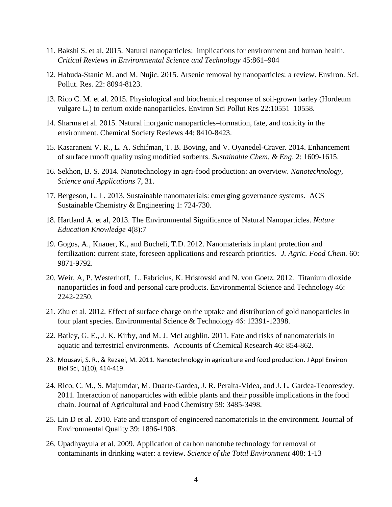- 11. Bakshi S. et al, 2015. Natural nanoparticles: implications for environment and human health. *Critical Reviews in Environmental Science and Technology* 45:861–904
- 12. Habuda-Stanic M. and M. Nujic. 2015. Arsenic removal by nanoparticles: a review. Environ. Sci. Pollut. Res. 22: 8094-8123.
- 13. Rico C. M. et al. 2015. Physiological and biochemical response of soil-grown barley (Hordeum vulgare L.) to cerium oxide nanoparticles. Environ Sci Pollut Res 22:10551–10558.
- 14. Sharma et al. 2015. Natural inorganic nanoparticles–formation, fate, and toxicity in the environment. Chemical Society Reviews 44: 8410-8423.
- 15. Kasaraneni V. R., L. A. Schifman, T. B. Boving, and V. Oyanedel-Craver. 2014. Enhancement of surface runoff quality using modified sorbents. *Sustainable Chem. & Eng*. 2: 1609-1615.
- 16. Sekhon, B. S. 2014. Nanotechnology in agri-food production: an overview. *Nanotechnology, Science and Applications* 7, 31.
- 17. Bergeson, L. L. 2013. Sustainable nanomaterials: emerging governance systems. ACS Sustainable Chemistry & Engineering 1: 724-730.
- 18. Hartland A. et al, 2013. The Environmental Significance of Natural Nanoparticles. *Nature Education Knowledge* 4(8):7
- 19. Gogos, A., Knauer, K., and Bucheli, T.D. 2012. Nanomaterials in plant protection and fertilization: current state, foreseen applications and research priorities. *J. Agric. Food Chem.* 60: 9871-9792.
- 20. Weir, A, P. Westerhoff, L. Fabricius, K. Hristovski and N. von Goetz. 2012. Titanium dioxide nanoparticles in food and personal care products. Environmental Science and Technology 46: 2242-2250.
- 21. Zhu et al. 2012. Effect of surface charge on the uptake and distribution of gold nanoparticles in four plant species. Environmental Science & Technology 46: 12391-12398.
- 22. Batley, G. E., J. K. Kirby, and M. J. McLaughlin. 2011. Fate and risks of nanomaterials in aquatic and terrestrial environments. Accounts of Chemical Research 46: 854-862.
- 23. Mousavi, S. R., & Rezaei, M. 2011. Nanotechnology in agriculture and food production. J Appl Environ Biol Sci, 1(10), 414-419.
- 24. Rico, C. M., S. Majumdar, M. Duarte-Gardea, J. R. Peralta-Videa, and J. L. Gardea-Teooresdey. 2011. Interaction of nanoparticles with edible plants and their possible implications in the food chain. Journal of Agricultural and Food Chemistry 59: 3485-3498.
- 25. Lin D et al. 2010. Fate and transport of engineered nanomaterials in the environment. Journal of Environmental Quality 39: 1896-1908.
- 26. Upadhyayula et al. 2009. Application of carbon nanotube technology for removal of contaminants in drinking water: a review. *Science of the Total Environment* 408: 1-13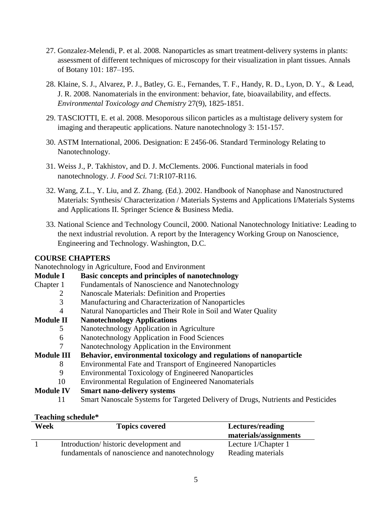- 27. Gonzalez-Melendi, P. et al. 2008. Nanoparticles as smart treatment-delivery systems in plants: assessment of different techniques of microscopy for their visualization in plant tissues. Annals of Botany 101: 187–195.
- 28. Klaine, S. J., Alvarez, P. J., Batley, G. E., Fernandes, T. F., Handy, R. D., Lyon, D. Y., & Lead, J. R. 2008. Nanomaterials in the environment: behavior, fate, bioavailability, and effects. *Environmental Toxicology and Chemistry* 27(9), 1825-1851.
- 29. TASCIOTTI, E. et al. 2008. Mesoporous silicon particles as a multistage delivery system for imaging and therapeutic applications. Nature nanotechnology 3: 151-157.
- 30. ASTM International, 2006. Designation: E 2456-06. Standard Terminology Relating to Nanotechnology.
- 31. Weiss J., P. Takhistov, and D. J. McClements. 2006. Functional materials in food nanotechnology. *J. Food Sci.* 71:R107-R116.
- 32. Wang, Z.L., Y. Liu, and Z. Zhang. (Ed.). 2002. Handbook of Nanophase and Nanostructured Materials: Synthesis/ Characterization / Materials Systems and Applications I/Materials Systems and Applications II. Springer Science & Business Media.
- 33. National Science and Technology Council, 2000. National Nanotechnology Initiative: Leading to the next industrial revolution. A report by the Interagency Working Group on Nanoscience, Engineering and Technology. Washington, D.C.

# **COURSE CHAPTERS**

Nanotechnology in Agriculture, Food and Environment

| <b>Module I</b>   | Basic concepts and principles of nanotechnology                                  |
|-------------------|----------------------------------------------------------------------------------|
| Chapter 1         | <b>Fundamentals of Nanoscience and Nanotechnology</b>                            |
| 2                 | Nanoscale Materials: Definition and Properties                                   |
| 3                 | Manufacturing and Characterization of Nanoparticles                              |
| 4                 | Natural Nanoparticles and Their Role in Soil and Water Quality                   |
| <b>Module II</b>  | <b>Nanotechnology Applications</b>                                               |
| C                 | Nanotechnology Application in Agriculture                                        |
| 6                 | Nanotechnology Application in Food Sciences                                      |
|                   | Nanotechnology Application in the Environment                                    |
| <b>Module III</b> | Behavior, environmental toxicology and regulations of nanoparticle               |
| 8                 | <b>Environmental Fate and Transport of Engineered Nanoparticles</b>              |
| 9                 | <b>Environmental Toxicology of Engineered Nanoparticles</b>                      |
| 10                | <b>Environmental Regulation of Engineered Nanomaterials</b>                      |
| <b>Module IV</b>  | <b>Smart nano-delivery systems</b>                                               |
|                   | Smart Nanoscale Systems for Targeted Delivery of Drugs, Nutrients and Pesticides |

#### **Teaching schedule\***

| Week | <b>Topics covered</b>                          | Lectures/reading      |
|------|------------------------------------------------|-----------------------|
|      |                                                | materials/assignments |
|      | Introduction/historic development and          | Lecture 1/Chapter 1   |
|      | fundamentals of nanoscience and nanotechnology | Reading materials     |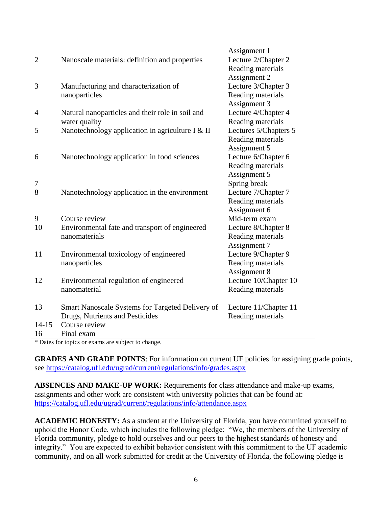|                                                                                                   | Assignment 1          |
|---------------------------------------------------------------------------------------------------|-----------------------|
| $\overline{2}$<br>Nanoscale materials: definition and properties                                  | Lecture 2/Chapter 2   |
|                                                                                                   | Reading materials     |
|                                                                                                   | Assignment 2          |
| 3<br>Manufacturing and characterization of                                                        | Lecture 3/Chapter 3   |
| nanoparticles                                                                                     | Reading materials     |
|                                                                                                   | Assignment 3          |
| Natural nanoparticles and their role in soil and<br>$\overline{4}$                                | Lecture 4/Chapter 4   |
| water quality                                                                                     | Reading materials     |
| Nanotechnology application in agriculture I & II<br>5                                             | Lectures 5/Chapters 5 |
|                                                                                                   | Reading materials     |
|                                                                                                   | Assignment 5          |
| Nanotechnology application in food sciences<br>6                                                  | Lecture 6/Chapter 6   |
|                                                                                                   | Reading materials     |
|                                                                                                   | Assignment 5          |
| 7                                                                                                 | Spring break          |
| 8<br>Nanotechnology application in the environment                                                | Lecture 7/Chapter 7   |
|                                                                                                   | Reading materials     |
|                                                                                                   | Assignment 6          |
| 9<br>Course review                                                                                | Mid-term exam         |
| 10<br>Environmental fate and transport of engineered                                              | Lecture 8/Chapter 8   |
| nanomaterials                                                                                     | Reading materials     |
|                                                                                                   | Assignment 7          |
| 11<br>Environmental toxicology of engineered                                                      | Lecture 9/Chapter 9   |
| nanoparticles                                                                                     | Reading materials     |
|                                                                                                   | Assignment 8          |
| 12<br>Environmental regulation of engineered                                                      | Lecture 10/Chapter 10 |
| nanomaterial                                                                                      | Reading materials     |
|                                                                                                   |                       |
| 13<br>Smart Nanoscale Systems for Targeted Delivery of                                            | Lecture 11/Chapter 11 |
| Drugs, Nutrients and Pesticides                                                                   | Reading materials     |
| $14 - 15$<br>Course review                                                                        |                       |
| 16<br>Final exam<br>a concern a constituto de entre a fundación<br>$\ast$ Detail for the local on |                       |

Dates for topics or exams are subject to change.

**GRADES AND GRADE POINTS**: For information on current UF policies for assigning grade points, see<https://catalog.ufl.edu/ugrad/current/regulations/info/grades.aspx>

**ABSENCES AND MAKE-UP WORK:** Requirements for class attendance and make-up exams, assignments and other work are consistent with university policies that can be found at: <https://catalog.ufl.edu/ugrad/current/regulations/info/attendance.aspx>

**ACADEMIC HONESTY:** As a student at the University of Florida, you have committed yourself to uphold the Honor Code, which includes the following pledge: "We, the members of the University of Florida community, pledge to hold ourselves and our peers to the highest standards of honesty and integrity." You are expected to exhibit behavior consistent with this commitment to the UF academic community, and on all work submitted for credit at the University of Florida, the following pledge is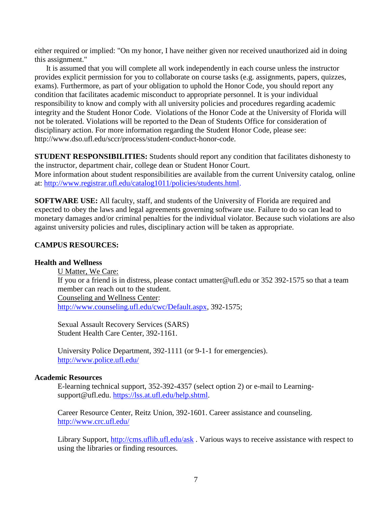either required or implied: "On my honor, I have neither given nor received unauthorized aid in doing this assignment."

 It is assumed that you will complete all work independently in each course unless the instructor provides explicit permission for you to collaborate on course tasks (e.g. assignments, papers, quizzes, exams). Furthermore, as part of your obligation to uphold the Honor Code, you should report any condition that facilitates academic misconduct to appropriate personnel. It is your individual responsibility to know and comply with all university policies and procedures regarding academic integrity and the Student Honor Code. Violations of the Honor Code at the University of Florida will not be tolerated. Violations will be reported to the Dean of Students Office for consideration of disciplinary action. For more information regarding the Student Honor Code, please see: http://www.dso.ufl.edu/sccr/process/student-conduct-honor-code.

**STUDENT RESPONSIBILITIES:** Students should report any condition that facilitates dishonesty to the instructor, department chair, college dean or Student Honor Court. More information about student responsibilities are available from the current University catalog, online at: [http://www.registrar.ufl.edu/catalog1011/policies/students.html.](http://www.registrar.ufl.edu/catalog1011/policies/students.html)

**SOFTWARE USE:** All faculty, staff, and students of the University of Florida are required and expected to obey the laws and legal agreements governing software use. Failure to do so can lead to monetary damages and/or criminal penalties for the individual violator. Because such violations are also against university policies and rules, disciplinary action will be taken as appropriate.

# **CAMPUS RESOURCES:**

# **Health and Wellness**

U Matter, We Care: If you or a friend is in distress, please contact umatter@ufl.edu or 352 392-1575 so that a team member can reach out to the student. Counseling and Wellness Center: [http://www.counseling.ufl.edu/cwc/Default.aspx,](http://www.counseling.ufl.edu/cwc/Default.aspx) 392-1575;

Sexual Assault Recovery Services (SARS) Student Health Care Center, 392-1161.

University Police Department, 392-1111 (or 9-1-1 for emergencies). <http://www.police.ufl.edu/>

#### **Academic Resources**

E-learning technical support, 352-392-4357 (select option 2) or e-mail to Learningsupport@ufl.edu. [https://lss.at.ufl.edu/help.shtml.](https://lss.at.ufl.edu/help.shtml)

Career Resource Center, Reitz Union, 392-1601. Career assistance and counseling. <http://www.crc.ufl.edu/>

Library Support,<http://cms.uflib.ufl.edu/ask>. Various ways to receive assistance with respect to using the libraries or finding resources.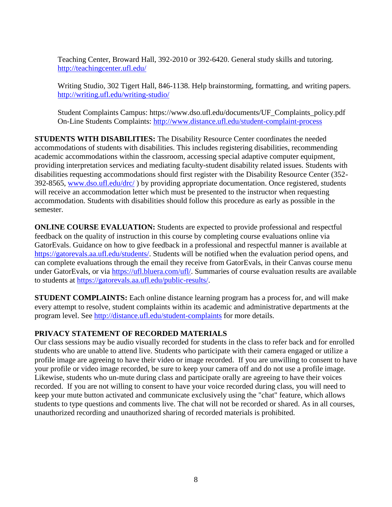Teaching Center, Broward Hall, 392-2010 or 392-6420. General study skills and tutoring. <http://teachingcenter.ufl.edu/>

Writing Studio, 302 Tigert Hall, 846-1138. Help brainstorming, formatting, and writing papers. <http://writing.ufl.edu/writing-studio/>

Student Complaints Campus: https://www.dso.ufl.edu/documents/UF\_Complaints\_policy.pdf On-Line Students Complaints:<http://www.distance.ufl.edu/student-complaint-process>

**STUDENTS WITH DISABILITIES:** The Disability Resource Center coordinates the needed accommodations of students with disabilities. This includes registering disabilities, recommending academic accommodations within the classroom, accessing special adaptive computer equipment, providing interpretation services and mediating faculty-student disability related issues. Students with disabilities requesting accommodations should first register with the Disability Resource Center (352- 392-8565, [www.dso.ufl.edu/drc/](http://www.dso.ufl.edu/drc/) ) by providing appropriate documentation. Once registered, students will receive an accommodation letter which must be presented to the instructor when requesting accommodation. Students with disabilities should follow this procedure as early as possible in the semester.

**ONLINE COURSE EVALUATION:** Students are expected to provide professional and respectful feedback on the quality of instruction in this course by completing course evaluations online via GatorEvals. Guidance on how to give feedback in a professional and respectful manner is available at [https://gatorevals.aa.ufl.edu/students/.](https://gatorevals.aa.ufl.edu/students/) Students will be notified when the evaluation period opens, and can complete evaluations through the email they receive from GatorEvals, in their Canvas course menu under GatorEvals, or via [https://ufl.bluera.com/ufl/.](https://ufl.bluera.com/ufl/) Summaries of course evaluation results are available to students at [https://gatorevals.aa.ufl.edu/public-results/.](https://gatorevals.aa.ufl.edu/public-results/)

**STUDENT COMPLAINTS:** Each online distance learning program has a process for, and will make every attempt to resolve, student complaints within its academic and administrative departments at the program level. See <http://distance.ufl.edu/student-complaints> for more details.

# **PRIVACY STATEMENT OF RECORDED MATERIALS**

Our class sessions may be audio visually recorded for students in the class to refer back and for enrolled students who are unable to attend live. Students who participate with their camera engaged or utilize a profile image are agreeing to have their video or image recorded. If you are unwilling to consent to have your profile or video image recorded, be sure to keep your camera off and do not use a profile image. Likewise, students who un-mute during class and participate orally are agreeing to have their voices recorded. If you are not willing to consent to have your voice recorded during class, you will need to keep your mute button activated and communicate exclusively using the "chat" feature, which allows students to type questions and comments live. The chat will not be recorded or shared. As in all courses, unauthorized recording and unauthorized sharing of recorded materials is prohibited.